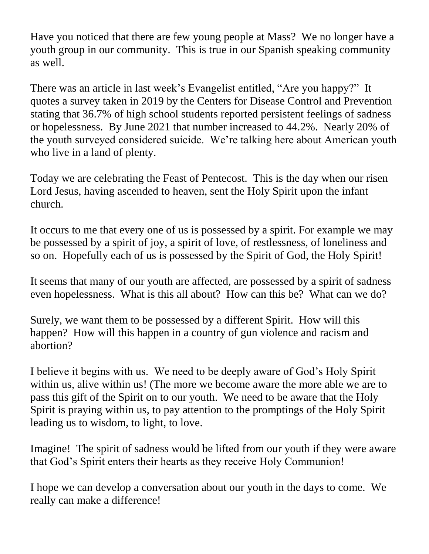Have you noticed that there are few young people at Mass? We no longer have a youth group in our community. This is true in our Spanish speaking community as well.

There was an article in last week's Evangelist entitled, "Are you happy?" It quotes a survey taken in 2019 by the Centers for Disease Control and Prevention stating that 36.7% of high school students reported persistent feelings of sadness or hopelessness. By June 2021 that number increased to 44.2%. Nearly 20% of the youth surveyed considered suicide. We're talking here about American youth who live in a land of plenty.

Today we are celebrating the Feast of Pentecost. This is the day when our risen Lord Jesus, having ascended to heaven, sent the Holy Spirit upon the infant church.

It occurs to me that every one of us is possessed by a spirit. For example we may be possessed by a spirit of joy, a spirit of love, of restlessness, of loneliness and so on. Hopefully each of us is possessed by the Spirit of God, the Holy Spirit!

It seems that many of our youth are affected, are possessed by a spirit of sadness even hopelessness. What is this all about? How can this be? What can we do?

Surely, we want them to be possessed by a different Spirit. How will this happen? How will this happen in a country of gun violence and racism and abortion?

I believe it begins with us. We need to be deeply aware of God's Holy Spirit within us, alive within us! (The more we become aware the more able we are to pass this gift of the Spirit on to our youth. We need to be aware that the Holy Spirit is praying within us, to pay attention to the promptings of the Holy Spirit leading us to wisdom, to light, to love.

Imagine! The spirit of sadness would be lifted from our youth if they were aware that God's Spirit enters their hearts as they receive Holy Communion!

I hope we can develop a conversation about our youth in the days to come. We really can make a difference!